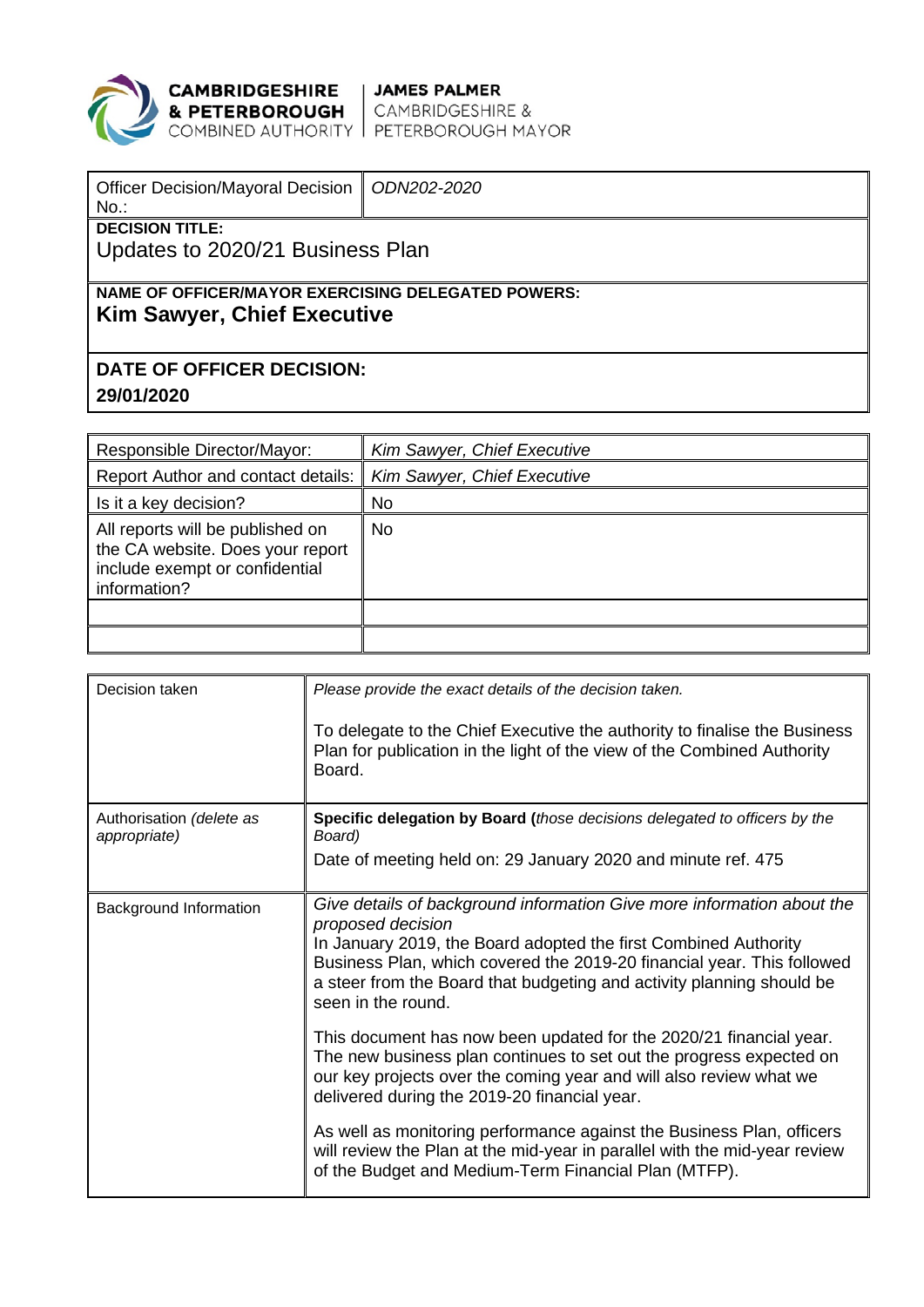

**CAMBRIDGESHIRE** JAMES PALMER<br>**& PETERBOROUGH** CAMBRIDGESHIRE &<br>COMBINED AUTHORITY PETERBOROUGH MAYOR

| <b>Officer Decision/Mayoral Decision</b><br>$No.$ :                                      | ODN202-2020 |  |  |  |  |
|------------------------------------------------------------------------------------------|-------------|--|--|--|--|
| <b>DECISION TITLE:</b>                                                                   |             |  |  |  |  |
| Updates to 2020/21 Business Plan                                                         |             |  |  |  |  |
|                                                                                          |             |  |  |  |  |
| NAME OF OFFICER/MAYOR EXERCISING DELEGATED POWERS:<br><b>Kim Sawyer, Chief Executive</b> |             |  |  |  |  |
| DATE OF OFFICER DECISION:                                                                |             |  |  |  |  |
| 29/01/2020                                                                               |             |  |  |  |  |

| Responsible Director/Mayor:                                                                                            | Kim Sawyer, Chief Executive |
|------------------------------------------------------------------------------------------------------------------------|-----------------------------|
| <b>Report Author and contact details:</b>                                                                              | Kim Sawyer, Chief Executive |
| Is it a key decision?                                                                                                  | No                          |
| All reports will be published on<br>the CA website. Does your report<br>include exempt or confidential<br>information? | No                          |
|                                                                                                                        |                             |
|                                                                                                                        |                             |

| Decision taken                           | Please provide the exact details of the decision taken.<br>To delegate to the Chief Executive the authority to finalise the Business<br>Plan for publication in the light of the view of the Combined Authority<br>Board.                                                                                                               |
|------------------------------------------|-----------------------------------------------------------------------------------------------------------------------------------------------------------------------------------------------------------------------------------------------------------------------------------------------------------------------------------------|
| Authorisation (delete as<br>appropriate) | <b>Specific delegation by Board (those decisions delegated to officers by the</b><br>Board)<br>Date of meeting held on: 29 January 2020 and minute ref. 475                                                                                                                                                                             |
| Background Information                   | Give details of background information Give more information about the<br>proposed decision<br>In January 2019, the Board adopted the first Combined Authority<br>Business Plan, which covered the 2019-20 financial year. This followed<br>a steer from the Board that budgeting and activity planning should be<br>seen in the round. |
|                                          | This document has now been updated for the 2020/21 financial year.<br>The new business plan continues to set out the progress expected on<br>our key projects over the coming year and will also review what we<br>delivered during the 2019-20 financial year.                                                                         |
|                                          | As well as monitoring performance against the Business Plan, officers<br>will review the Plan at the mid-year in parallel with the mid-year review<br>of the Budget and Medium-Term Financial Plan (MTFP).                                                                                                                              |